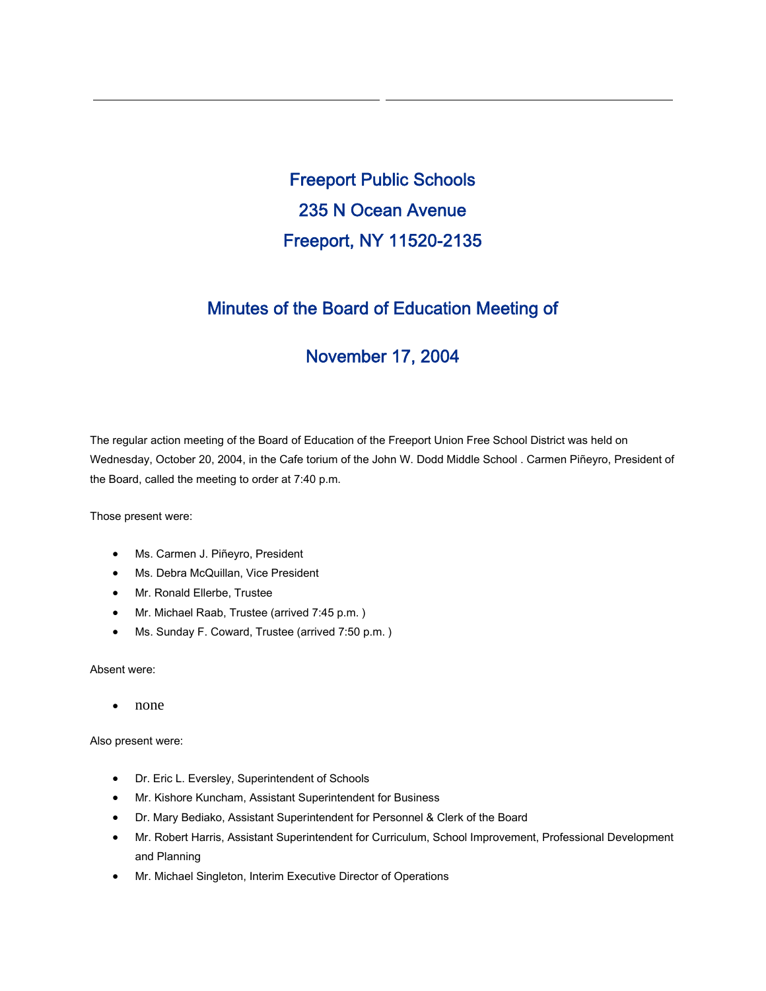Freeport Public Schools 235 N Ocean Avenue Freeport, NY 11520-2135

# Minutes of the Board of Education Meeting of

# November 17, 2004

The regular action meeting of the Board of Education of the Freeport Union Free School District was held on Wednesday, October 20, 2004, in the Cafe torium of the John W. Dodd Middle School . Carmen Piñeyro, President of the Board, called the meeting to order at 7:40 p.m.

Those present were:

- Ms. Carmen J. Piñeyro, President
- Ms. Debra McQuillan, Vice President
- Mr. Ronald Ellerbe, Trustee
- Mr. Michael Raab, Trustee (arrived 7:45 p.m. )
- Ms. Sunday F. Coward, Trustee (arrived 7:50 p.m. )

Absent were:

• none

Also present were:

- Dr. Eric L. Eversley, Superintendent of Schools
- Mr. Kishore Kuncham, Assistant Superintendent for Business
- Dr. Mary Bediako, Assistant Superintendent for Personnel & Clerk of the Board
- Mr. Robert Harris, Assistant Superintendent for Curriculum, School Improvement, Professional Development and Planning
- Mr. Michael Singleton, Interim Executive Director of Operations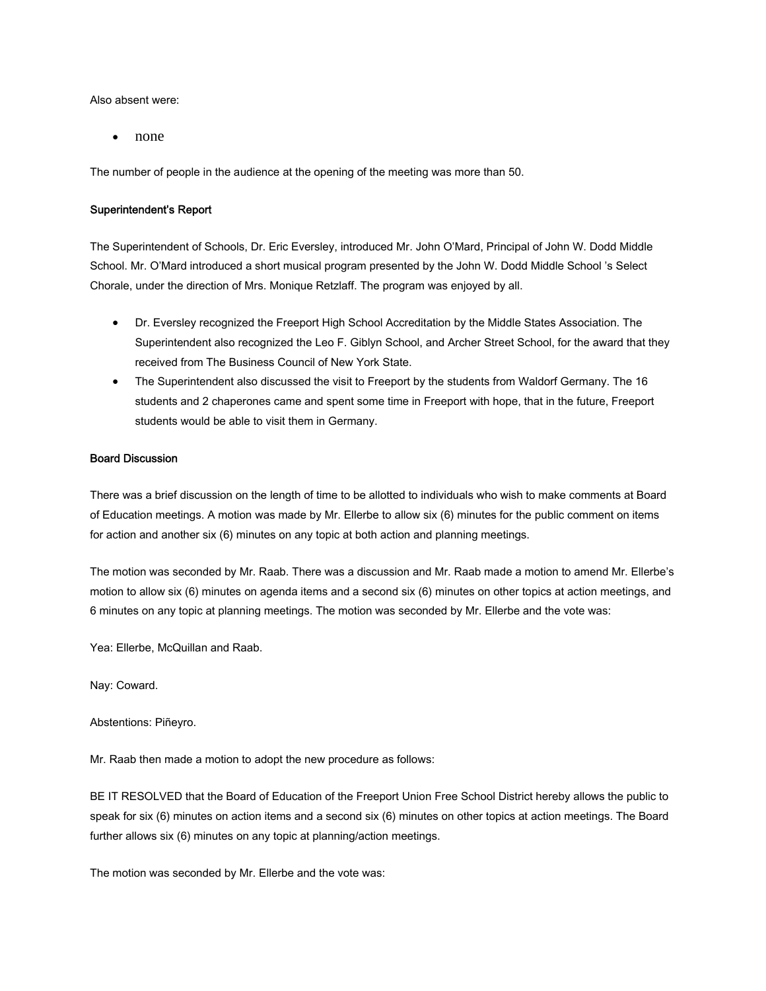Also absent were:

• none

The number of people in the audience at the opening of the meeting was more than 50.

#### Superintendent's Report

The Superintendent of Schools, Dr. Eric Eversley, introduced Mr. John O'Mard, Principal of John W. Dodd Middle School. Mr. O'Mard introduced a short musical program presented by the John W. Dodd Middle School 's Select Chorale, under the direction of Mrs. Monique Retzlaff. The program was enjoyed by all.

- Dr. Eversley recognized the Freeport High School Accreditation by the Middle States Association. The Superintendent also recognized the Leo F. Giblyn School, and Archer Street School, for the award that they received from The Business Council of New York State.
- The Superintendent also discussed the visit to Freeport by the students from Waldorf Germany. The 16 students and 2 chaperones came and spent some time in Freeport with hope, that in the future, Freeport students would be able to visit them in Germany.

# Board Discussion

There was a brief discussion on the length of time to be allotted to individuals who wish to make comments at Board of Education meetings. A motion was made by Mr. Ellerbe to allow six (6) minutes for the public comment on items for action and another six (6) minutes on any topic at both action and planning meetings.

The motion was seconded by Mr. Raab. There was a discussion and Mr. Raab made a motion to amend Mr. Ellerbe's motion to allow six (6) minutes on agenda items and a second six (6) minutes on other topics at action meetings, and 6 minutes on any topic at planning meetings. The motion was seconded by Mr. Ellerbe and the vote was:

Yea: Ellerbe, McQuillan and Raab.

Nay: Coward.

Abstentions: Piñeyro.

Mr. Raab then made a motion to adopt the new procedure as follows:

BE IT RESOLVED that the Board of Education of the Freeport Union Free School District hereby allows the public to speak for six (6) minutes on action items and a second six (6) minutes on other topics at action meetings. The Board further allows six (6) minutes on any topic at planning/action meetings.

The motion was seconded by Mr. Ellerbe and the vote was: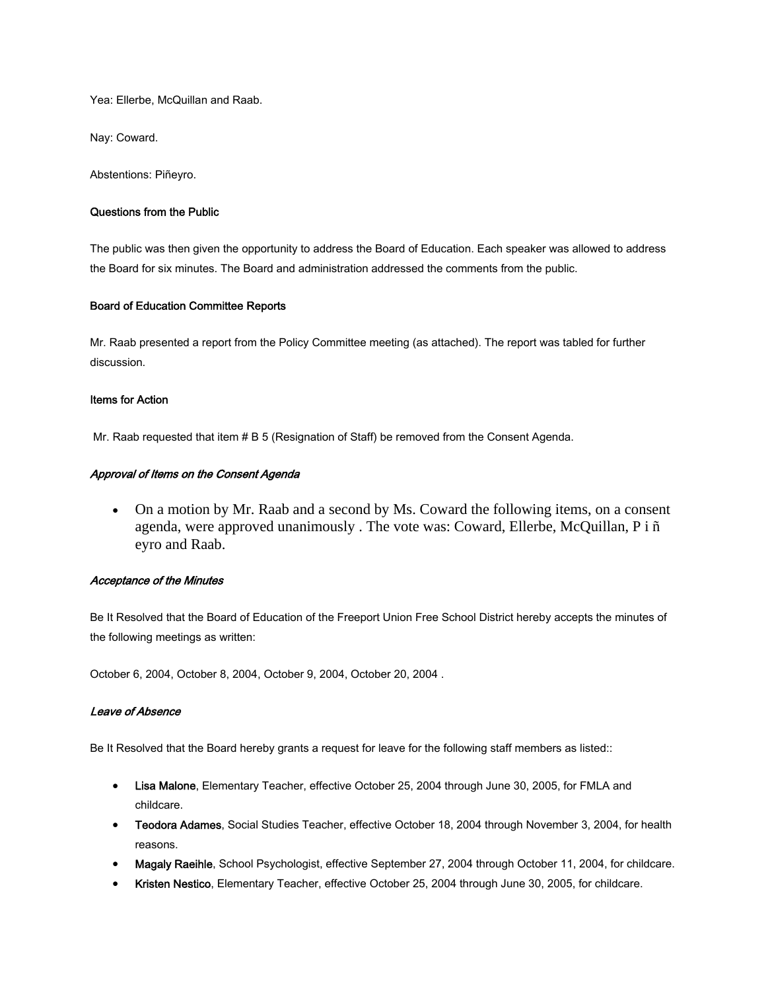Yea: Ellerbe, McQuillan and Raab.

Nay: Coward.

Abstentions: Piñeyro.

#### Questions from the Public

The public was then given the opportunity to address the Board of Education. Each speaker was allowed to address the Board for six minutes. The Board and administration addressed the comments from the public.

## Board of Education Committee Reports

Mr. Raab presented a report from the Policy Committee meeting (as attached). The report was tabled for further discussion.

#### Items for Action

Mr. Raab requested that item # B 5 (Resignation of Staff) be removed from the Consent Agenda.

## Approval of Items on the Consent Agenda

• On a motion by Mr. Raab and a second by Ms. Coward the following items, on a consent agenda, were approved unanimously . The vote was: Coward, Ellerbe, McQuillan, P i ñ eyro and Raab.

#### Acceptance of the Minutes

Be It Resolved that the Board of Education of the Freeport Union Free School District hereby accepts the minutes of the following meetings as written:

October 6, 2004, October 8, 2004, October 9, 2004, October 20, 2004 .

## Leave of Absence

Be It Resolved that the Board hereby grants a request for leave for the following staff members as listed::

- Lisa Malone, Elementary Teacher, effective October 25, 2004 through June 30, 2005, for FMLA and childcare.
- Teodora Adames, Social Studies Teacher, effective October 18, 2004 through November 3, 2004, for health reasons.
- Magaly Raeihle, School Psychologist, effective September 27, 2004 through October 11, 2004, for childcare.
- Kristen Nestico, Elementary Teacher, effective October 25, 2004 through June 30, 2005, for childcare.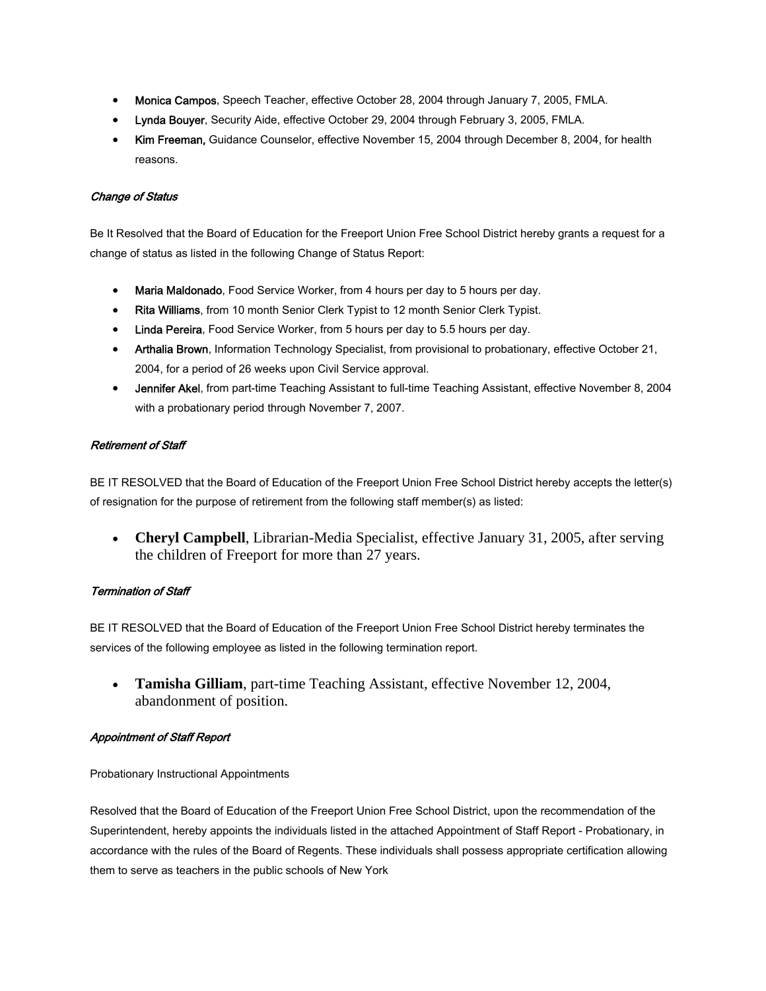- Monica Campos, Speech Teacher, effective October 28, 2004 through January 7, 2005, FMLA.
- Lynda Bouyer, Security Aide, effective October 29, 2004 through February 3, 2005, FMLA.
- Kim Freeman, Guidance Counselor, effective November 15, 2004 through December 8, 2004, for health reasons.

# Change of Status

Be It Resolved that the Board of Education for the Freeport Union Free School District hereby grants a request for a change of status as listed in the following Change of Status Report:

- Maria Maldonado, Food Service Worker, from 4 hours per day to 5 hours per day.
- Rita Williams, from 10 month Senior Clerk Typist to 12 month Senior Clerk Typist.
- Linda Pereira, Food Service Worker, from 5 hours per day to 5.5 hours per day.
- Arthalia Brown, Information Technology Specialist, from provisional to probationary, effective October 21, 2004, for a period of 26 weeks upon Civil Service approval.
- Jennifer Akel, from part-time Teaching Assistant to full-time Teaching Assistant, effective November 8, 2004 with a probationary period through November 7, 2007.

# Retirement of Staff

BE IT RESOLVED that the Board of Education of the Freeport Union Free School District hereby accepts the letter(s) of resignation for the purpose of retirement from the following staff member(s) as listed:

• **Cheryl Campbell**, Librarian-Media Specialist, effective January 31, 2005, after serving the children of Freeport for more than 27 years.

# Termination of Staff

BE IT RESOLVED that the Board of Education of the Freeport Union Free School District hereby terminates the services of the following employee as listed in the following termination report.

• **Tamisha Gilliam**, part-time Teaching Assistant, effective November 12, 2004, abandonment of position.

# Appointment of Staff Report

Probationary Instructional Appointments

Resolved that the Board of Education of the Freeport Union Free School District, upon the recommendation of the Superintendent, hereby appoints the individuals listed in the attached Appointment of Staff Report - Probationary, in accordance with the rules of the Board of Regents. These individuals shall possess appropriate certification allowing them to serve as teachers in the public schools of New York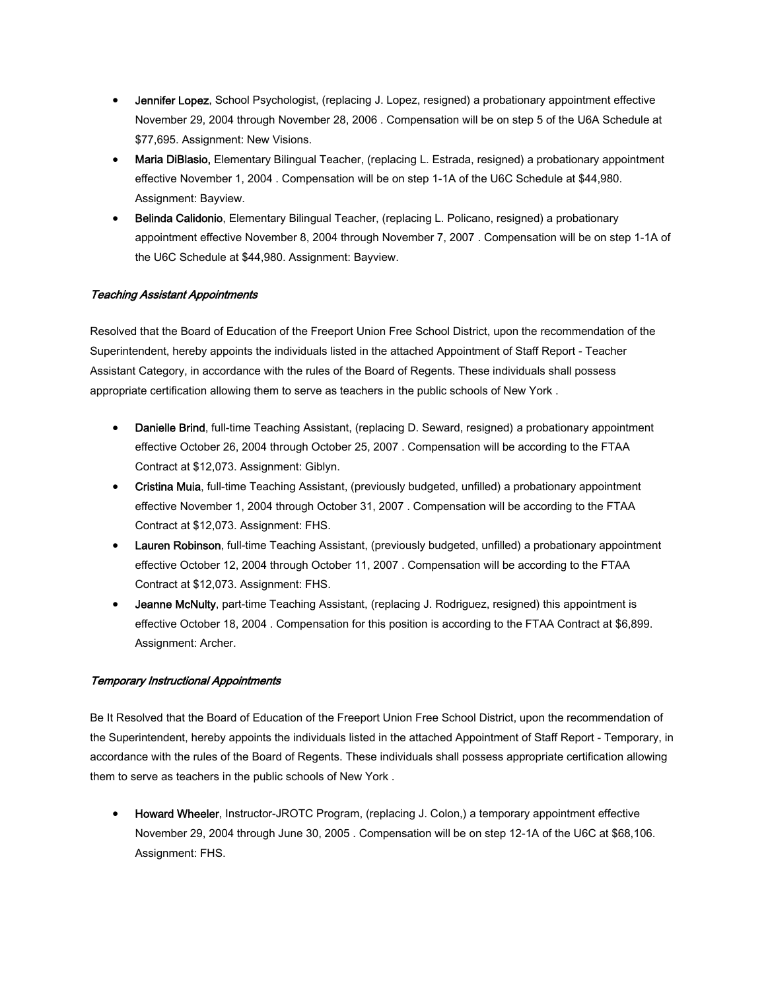- Jennifer Lopez, School Psychologist, (replacing J. Lopez, resigned) a probationary appointment effective November 29, 2004 through November 28, 2006 . Compensation will be on step 5 of the U6A Schedule at \$77,695. Assignment: New Visions.
- Maria DiBlasio, Elementary Bilingual Teacher, (replacing L. Estrada, resigned) a probationary appointment effective November 1, 2004 . Compensation will be on step 1-1A of the U6C Schedule at \$44,980. Assignment: Bayview.
- Belinda Calidonio, Elementary Bilingual Teacher, (replacing L. Policano, resigned) a probationary appointment effective November 8, 2004 through November 7, 2007 . Compensation will be on step 1-1A of the U6C Schedule at \$44,980. Assignment: Bayview.

# Teaching Assistant Appointments

Resolved that the Board of Education of the Freeport Union Free School District, upon the recommendation of the Superintendent, hereby appoints the individuals listed in the attached Appointment of Staff Report - Teacher Assistant Category, in accordance with the rules of the Board of Regents. These individuals shall possess appropriate certification allowing them to serve as teachers in the public schools of New York .

- Danielle Brind, full-time Teaching Assistant, (replacing D. Seward, resigned) a probationary appointment effective October 26, 2004 through October 25, 2007 . Compensation will be according to the FTAA Contract at \$12,073. Assignment: Giblyn.
- Cristina Muia, full-time Teaching Assistant, (previously budgeted, unfilled) a probationary appointment effective November 1, 2004 through October 31, 2007 . Compensation will be according to the FTAA Contract at \$12,073. Assignment: FHS.
- Lauren Robinson, full-time Teaching Assistant, (previously budgeted, unfilled) a probationary appointment effective October 12, 2004 through October 11, 2007 . Compensation will be according to the FTAA Contract at \$12,073. Assignment: FHS.
- Jeanne McNulty, part-time Teaching Assistant, (replacing J. Rodriguez, resigned) this appointment is effective October 18, 2004 . Compensation for this position is according to the FTAA Contract at \$6,899. Assignment: Archer.

## Temporary Instructional Appointments

Be It Resolved that the Board of Education of the Freeport Union Free School District, upon the recommendation of the Superintendent, hereby appoints the individuals listed in the attached Appointment of Staff Report - Temporary, in accordance with the rules of the Board of Regents. These individuals shall possess appropriate certification allowing them to serve as teachers in the public schools of New York .

• Howard Wheeler, Instructor-JROTC Program, (replacing J. Colon.) a temporary appointment effective November 29, 2004 through June 30, 2005 . Compensation will be on step 12-1A of the U6C at \$68,106. Assignment: FHS.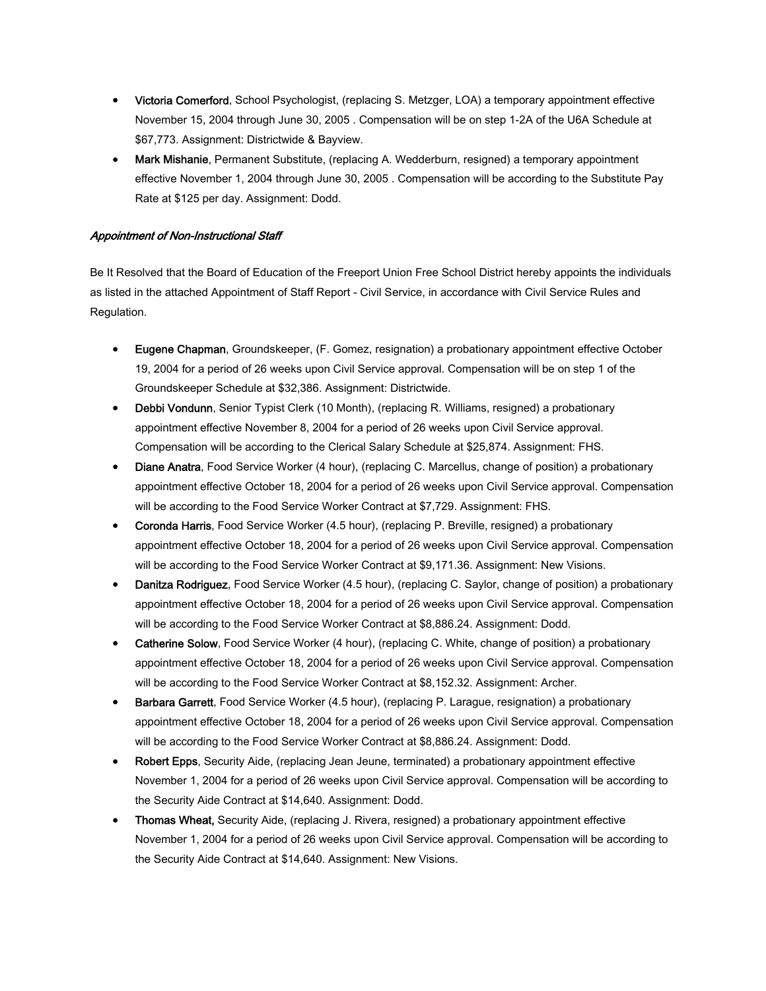- Victoria Comerford, School Psychologist, (replacing S. Metzger, LOA) a temporary appointment effective November 15, 2004 through June 30, 2005 . Compensation will be on step 1-2A of the U6A Schedule at \$67,773. Assignment: Districtwide & Bayview.
- Mark Mishanie, Permanent Substitute, (replacing A. Wedderburn, resigned) a temporary appointment effective November 1, 2004 through June 30, 2005 . Compensation will be according to the Substitute Pay Rate at \$125 per day. Assignment: Dodd.

# Appointment of Non-Instructional Staff

Be It Resolved that the Board of Education of the Freeport Union Free School District hereby appoints the individuals as listed in the attached Appointment of Staff Report - Civil Service, in accordance with Civil Service Rules and Regulation.

- Eugene Chapman, Groundskeeper, (F. Gomez, resignation) a probationary appointment effective October 19, 2004 for a period of 26 weeks upon Civil Service approval. Compensation will be on step 1 of the Groundskeeper Schedule at \$32,386. Assignment: Districtwide.
- Debbi Vondunn, Senior Typist Clerk (10 Month), (replacing R. Williams, resigned) a probationary appointment effective November 8, 2004 for a period of 26 weeks upon Civil Service approval. Compensation will be according to the Clerical Salary Schedule at \$25,874. Assignment: FHS.
- Diane Anatra, Food Service Worker (4 hour), (replacing C. Marcellus, change of position) a probationary appointment effective October 18, 2004 for a period of 26 weeks upon Civil Service approval. Compensation will be according to the Food Service Worker Contract at \$7,729. Assignment: FHS.
- Coronda Harris, Food Service Worker (4.5 hour), (replacing P. Breville, resigned) a probationary appointment effective October 18, 2004 for a period of 26 weeks upon Civil Service approval. Compensation will be according to the Food Service Worker Contract at \$9,171.36. Assignment: New Visions.
- Danitza Rodriguez, Food Service Worker (4.5 hour), (replacing C. Saylor, change of position) a probationary appointment effective October 18, 2004 for a period of 26 weeks upon Civil Service approval. Compensation will be according to the Food Service Worker Contract at \$8,886.24. Assignment: Dodd.
- Catherine Solow, Food Service Worker (4 hour), (replacing C. White, change of position) a probationary appointment effective October 18, 2004 for a period of 26 weeks upon Civil Service approval. Compensation will be according to the Food Service Worker Contract at \$8,152.32. Assignment: Archer.
- Barbara Garrett, Food Service Worker (4.5 hour), (replacing P. Larague, resignation) a probationary appointment effective October 18, 2004 for a period of 26 weeks upon Civil Service approval. Compensation will be according to the Food Service Worker Contract at \$8,886.24. Assignment: Dodd.
- Robert Epps, Security Aide, (replacing Jean Jeune, terminated) a probationary appointment effective November 1, 2004 for a period of 26 weeks upon Civil Service approval. Compensation will be according to the Security Aide Contract at \$14,640. Assignment: Dodd.
- Thomas Wheat, Security Aide, (replacing J. Rivera, resigned) a probationary appointment effective November 1, 2004 for a period of 26 weeks upon Civil Service approval. Compensation will be according to the Security Aide Contract at \$14,640. Assignment: New Visions.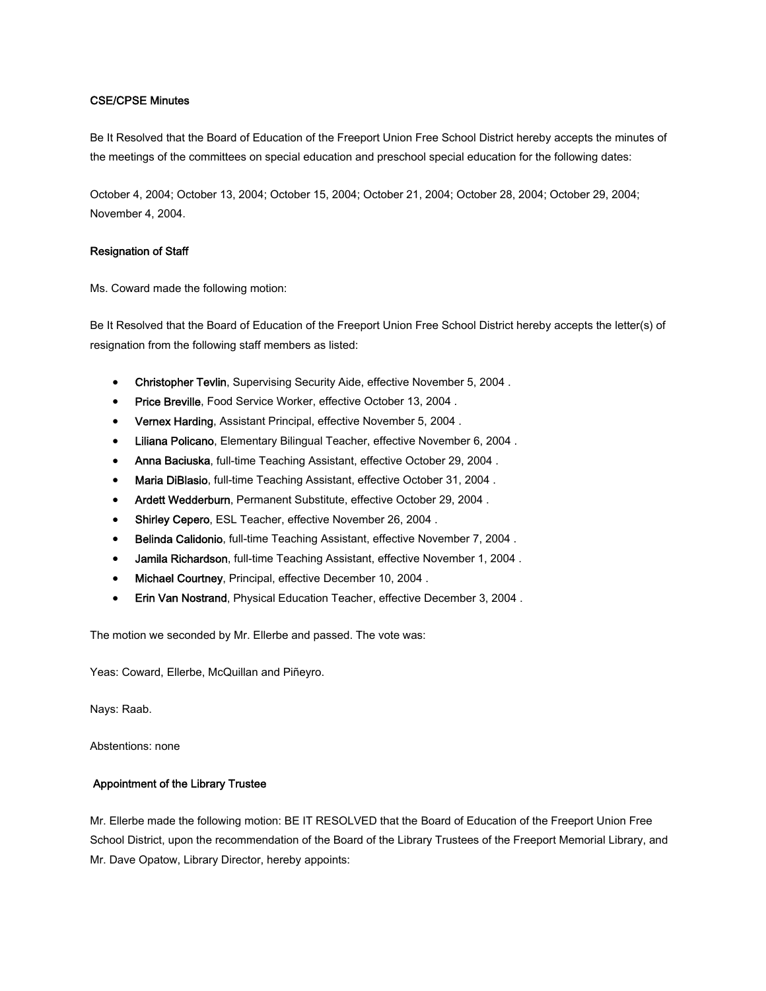# CSE/CPSE Minutes

Be It Resolved that the Board of Education of the Freeport Union Free School District hereby accepts the minutes of the meetings of the committees on special education and preschool special education for the following dates:

October 4, 2004; October 13, 2004; October 15, 2004; October 21, 2004; October 28, 2004; October 29, 2004; November 4, 2004.

## Resignation of Staff

Ms. Coward made the following motion:

Be It Resolved that the Board of Education of the Freeport Union Free School District hereby accepts the letter(s) of resignation from the following staff members as listed:

- Christopher Tevlin, Supervising Security Aide, effective November 5, 2004 .
- Price Breville, Food Service Worker, effective October 13, 2004 .
- Vernex Harding, Assistant Principal, effective November 5, 2004 .
- Liliana Policano, Elementary Bilingual Teacher, effective November 6, 2004 .
- Anna Baciuska, full-time Teaching Assistant, effective October 29, 2004 .
- Maria DiBlasio, full-time Teaching Assistant, effective October 31, 2004 .
- Ardett Wedderburn, Permanent Substitute, effective October 29, 2004 .
- Shirley Cepero, ESL Teacher, effective November 26, 2004 .
- Belinda Calidonio, full-time Teaching Assistant, effective November 7, 2004 .
- Jamila Richardson, full-time Teaching Assistant, effective November 1, 2004 .
- Michael Courtney, Principal, effective December 10, 2004 .
- Erin Van Nostrand, Physical Education Teacher, effective December 3, 2004 .

The motion we seconded by Mr. Ellerbe and passed. The vote was:

Yeas: Coward, Ellerbe, McQuillan and Piñeyro.

Nays: Raab.

Abstentions: none

## Appointment of the Library Trustee

Mr. Ellerbe made the following motion: BE IT RESOLVED that the Board of Education of the Freeport Union Free School District, upon the recommendation of the Board of the Library Trustees of the Freeport Memorial Library, and Mr. Dave Opatow, Library Director, hereby appoints: